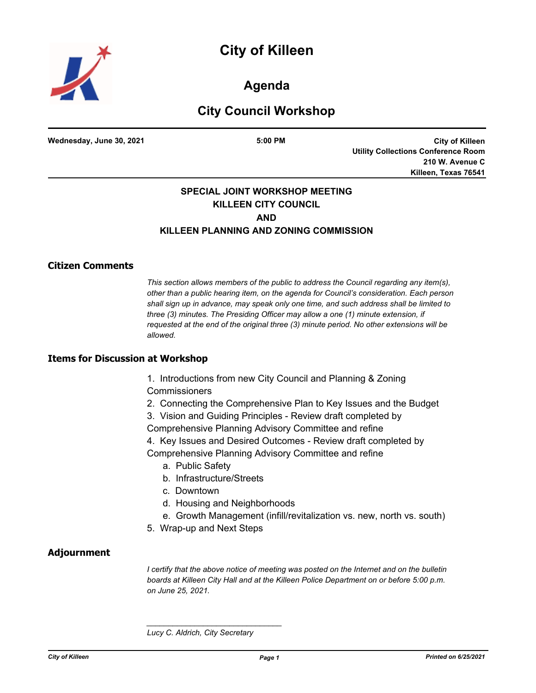# **City of Killeen**



**Agenda**

## **City Council Workshop**

**Wednesday, June 30, 2021 5:00 PM**

**City of Killeen Utility Collections Conference Room 210 W. Avenue C Killeen, Texas 76541**

### **SPECIAL JOINT WORKSHOP MEETING KILLEEN CITY COUNCIL AND KILLEEN PLANNING AND ZONING COMMISSION**

#### **Citizen Comments**

*This section allows members of the public to address the Council regarding any item(s), other than a public hearing item, on the agenda for Council's consideration. Each person shall sign up in advance, may speak only one time, and such address shall be limited to three (3) minutes. The Presiding Officer may allow a one (1) minute extension, if requested at the end of the original three (3) minute period. No other extensions will be allowed.*

#### **Items for Discussion at Workshop**

- 1. Introductions from new City Council and Planning & Zoning **Commissioners**
- 2. Connecting the Comprehensive Plan to Key Issues and the Budget
- 3. Vision and Guiding Principles Review draft completed by Comprehensive Planning Advisory Committee and refine
- 4. Key Issues and Desired Outcomes Review draft completed by Comprehensive Planning Advisory Committee and refine
	- a. Public Safety
	- b. Infrastructure/Streets
	- c. Downtown
	- d. Housing and Neighborhoods
	- e. Growth Management (infill/revitalization vs. new, north vs. south)
- 5. Wrap-up and Next Steps

#### **Adjournment**

*I* certify that the above notice of meeting was posted on the Internet and on the bulletin *boards at Killeen City Hall and at the Killeen Police Department on or before 5:00 p.m. on June 25, 2021.*

*Lucy C. Aldrich, City Secretary* 

*\_\_\_\_\_\_\_\_\_\_\_\_\_\_\_\_\_\_\_\_\_\_\_\_\_\_\_\_\_\_\_*